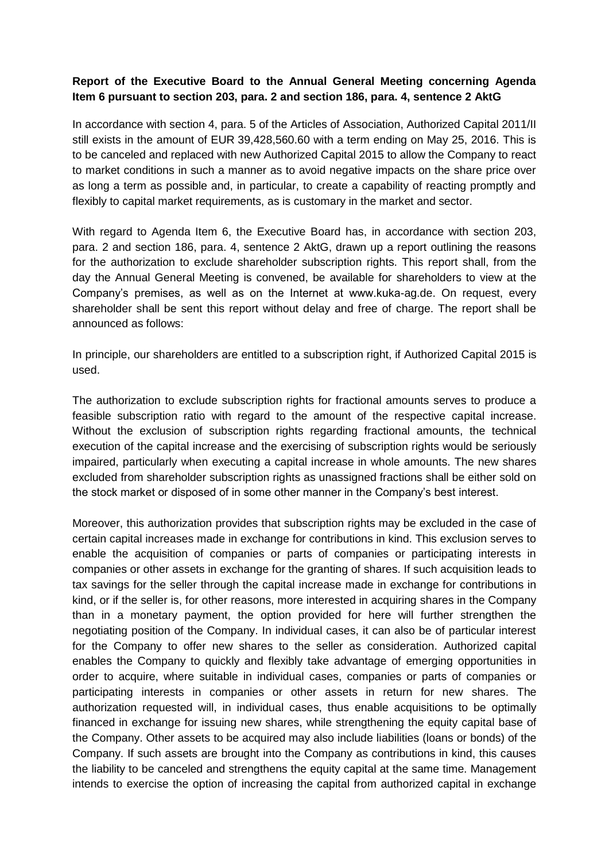## **Report of the Executive Board to the Annual General Meeting concerning Agenda Item 6 pursuant to section 203, para. 2 and section 186, para. 4, sentence 2 AktG**

In accordance with section 4, para. 5 of the Articles of Association, Authorized Capital 2011/II still exists in the amount of EUR 39,428,560.60 with a term ending on May 25, 2016. This is to be canceled and replaced with new Authorized Capital 2015 to allow the Company to react to market conditions in such a manner as to avoid negative impacts on the share price over as long a term as possible and, in particular, to create a capability of reacting promptly and flexibly to capital market requirements, as is customary in the market and sector.

With regard to Agenda Item 6, the Executive Board has, in accordance with section 203, para. 2 and section 186, para. 4, sentence 2 AktG, drawn up a report outlining the reasons for the authorization to exclude shareholder subscription rights. This report shall, from the day the Annual General Meeting is convened, be available for shareholders to view at the Company's premises, as well as on the Internet at www.kuka-ag.de. On request, every shareholder shall be sent this report without delay and free of charge. The report shall be announced as follows:

In principle, our shareholders are entitled to a subscription right, if Authorized Capital 2015 is used.

The authorization to exclude subscription rights for fractional amounts serves to produce a feasible subscription ratio with regard to the amount of the respective capital increase. Without the exclusion of subscription rights regarding fractional amounts, the technical execution of the capital increase and the exercising of subscription rights would be seriously impaired, particularly when executing a capital increase in whole amounts. The new shares excluded from shareholder subscription rights as unassigned fractions shall be either sold on the stock market or disposed of in some other manner in the Company's best interest.

Moreover, this authorization provides that subscription rights may be excluded in the case of certain capital increases made in exchange for contributions in kind. This exclusion serves to enable the acquisition of companies or parts of companies or participating interests in companies or other assets in exchange for the granting of shares. If such acquisition leads to tax savings for the seller through the capital increase made in exchange for contributions in kind, or if the seller is, for other reasons, more interested in acquiring shares in the Company than in a monetary payment, the option provided for here will further strengthen the negotiating position of the Company. In individual cases, it can also be of particular interest for the Company to offer new shares to the seller as consideration. Authorized capital enables the Company to quickly and flexibly take advantage of emerging opportunities in order to acquire, where suitable in individual cases, companies or parts of companies or participating interests in companies or other assets in return for new shares. The authorization requested will, in individual cases, thus enable acquisitions to be optimally financed in exchange for issuing new shares, while strengthening the equity capital base of the Company. Other assets to be acquired may also include liabilities (loans or bonds) of the Company. If such assets are brought into the Company as contributions in kind, this causes the liability to be canceled and strengthens the equity capital at the same time. Management intends to exercise the option of increasing the capital from authorized capital in exchange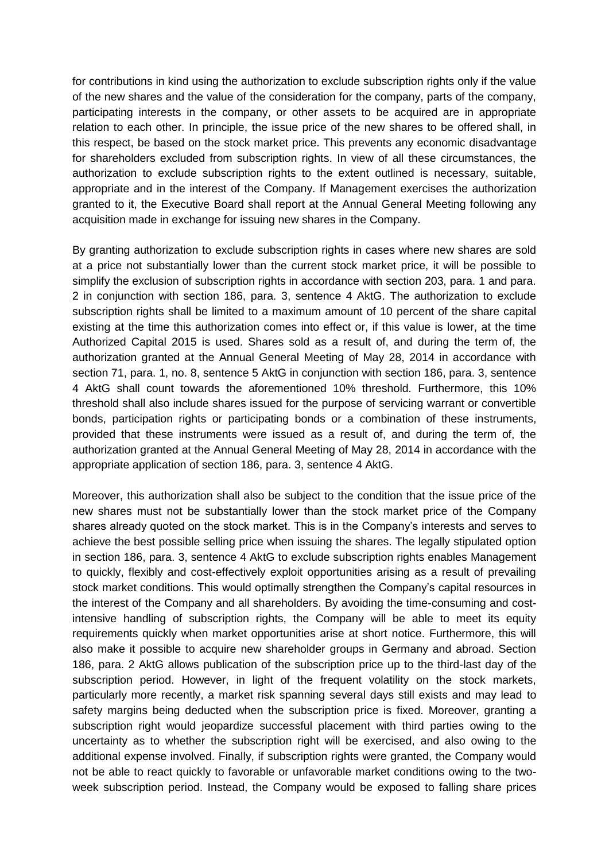for contributions in kind using the authorization to exclude subscription rights only if the value of the new shares and the value of the consideration for the company, parts of the company, participating interests in the company, or other assets to be acquired are in appropriate relation to each other. In principle, the issue price of the new shares to be offered shall, in this respect, be based on the stock market price. This prevents any economic disadvantage for shareholders excluded from subscription rights. In view of all these circumstances, the authorization to exclude subscription rights to the extent outlined is necessary, suitable, appropriate and in the interest of the Company. If Management exercises the authorization granted to it, the Executive Board shall report at the Annual General Meeting following any acquisition made in exchange for issuing new shares in the Company.

By granting authorization to exclude subscription rights in cases where new shares are sold at a price not substantially lower than the current stock market price, it will be possible to simplify the exclusion of subscription rights in accordance with section 203, para. 1 and para. 2 in conjunction with section 186, para. 3, sentence 4 AktG. The authorization to exclude subscription rights shall be limited to a maximum amount of 10 percent of the share capital existing at the time this authorization comes into effect or, if this value is lower, at the time Authorized Capital 2015 is used. Shares sold as a result of, and during the term of, the authorization granted at the Annual General Meeting of May 28, 2014 in accordance with section 71, para. 1, no. 8, sentence 5 AktG in conjunction with section 186, para. 3, sentence 4 AktG shall count towards the aforementioned 10% threshold. Furthermore, this 10% threshold shall also include shares issued for the purpose of servicing warrant or convertible bonds, participation rights or participating bonds or a combination of these instruments, provided that these instruments were issued as a result of, and during the term of, the authorization granted at the Annual General Meeting of May 28, 2014 in accordance with the appropriate application of section 186, para. 3, sentence 4 AktG.

Moreover, this authorization shall also be subject to the condition that the issue price of the new shares must not be substantially lower than the stock market price of the Company shares already quoted on the stock market. This is in the Company's interests and serves to achieve the best possible selling price when issuing the shares. The legally stipulated option in section 186, para. 3, sentence 4 AktG to exclude subscription rights enables Management to quickly, flexibly and cost-effectively exploit opportunities arising as a result of prevailing stock market conditions. This would optimally strengthen the Company's capital resources in the interest of the Company and all shareholders. By avoiding the time-consuming and costintensive handling of subscription rights, the Company will be able to meet its equity requirements quickly when market opportunities arise at short notice. Furthermore, this will also make it possible to acquire new shareholder groups in Germany and abroad. Section 186, para. 2 AktG allows publication of the subscription price up to the third-last day of the subscription period. However, in light of the frequent volatility on the stock markets, particularly more recently, a market risk spanning several days still exists and may lead to safety margins being deducted when the subscription price is fixed. Moreover, granting a subscription right would jeopardize successful placement with third parties owing to the uncertainty as to whether the subscription right will be exercised, and also owing to the additional expense involved. Finally, if subscription rights were granted, the Company would not be able to react quickly to favorable or unfavorable market conditions owing to the twoweek subscription period. Instead, the Company would be exposed to falling share prices